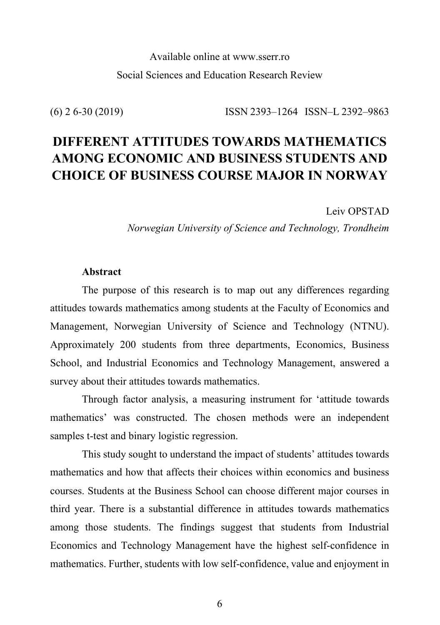## Available online at www.sserr.ro Social Sciences and Education Research Review

(6) 2 6-30 (2019) ISSN 2393–1264 ISSN–L 2392–9863

# **DIFFERENT ATTITUDES TOWARDS MATHEMATICS AMONG ECONOMIC AND BUSINESS STUDENTS AND CHOICE OF BUSINESS COURSE MAJOR IN NORWAY**

Leiv OPSTAD

*Norwegian University of Science and Technology, Trondheim*

## **Abstract**

The purpose of this research is to map out any differences regarding attitudes towards mathematics among students at the Faculty of Economics and Management, Norwegian University of Science and Technology (NTNU). Approximately 200 students from three departments, Economics, Business School, and Industrial Economics and Technology Management, answered a survey about their attitudes towards mathematics.

Through factor analysis, a measuring instrument for 'attitude towards mathematics' was constructed. The chosen methods were an independent samples t-test and binary logistic regression.

This study sought to understand the impact of students' attitudes towards mathematics and how that affects their choices within economics and business courses. Students at the Business School can choose different major courses in third year. There is a substantial difference in attitudes towards mathematics among those students. The findings suggest that students from Industrial Economics and Technology Management have the highest self-confidence in mathematics. Further, students with low self-confidence, value and enjoyment in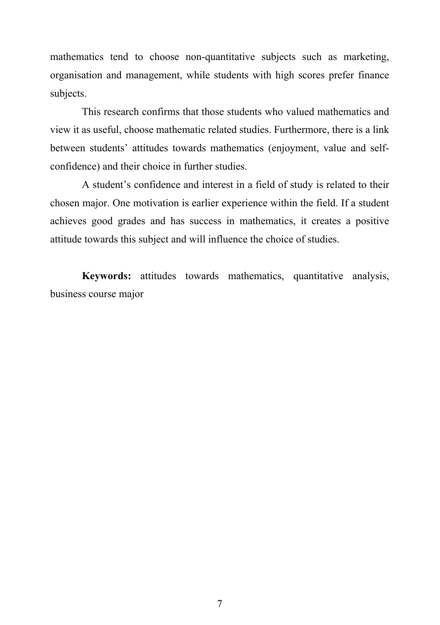mathematics tend to choose non-quantitative subjects such as marketing, organisation and management, while students with high scores prefer finance subjects.

This research confirms that those students who valued mathematics and view it as useful, choose mathematic related studies. Furthermore, there is a link between students' attitudes towards mathematics (enjoyment, value and selfconfidence) and their choice in further studies.

A student's confidence and interest in a field of study is related to their chosen major. One motivation is earlier experience within the field. If a student achieves good grades and has success in mathematics, it creates a positive attitude towards this subject and will influence the choice of studies.

**Keywords:** attitudes towards mathematics, quantitative analysis, business course major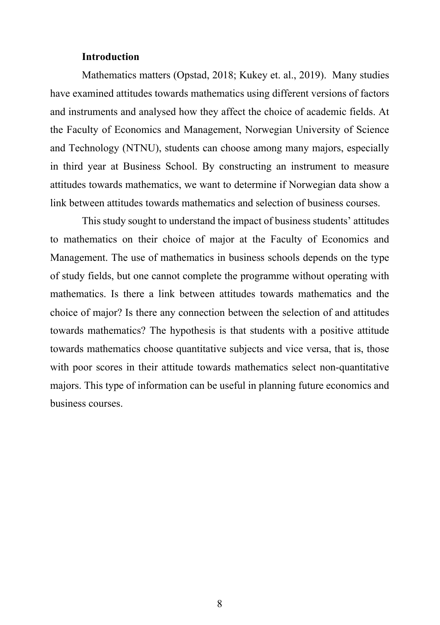## **Introduction**

Mathematics matters (Opstad, 2018; Kukey et. al., 2019). Many studies have examined attitudes towards mathematics using different versions of factors and instruments and analysed how they affect the choice of academic fields. At the Faculty of Economics and Management, Norwegian University of Science and Technology (NTNU), students can choose among many majors, especially in third year at Business School. By constructing an instrument to measure attitudes towards mathematics, we want to determine if Norwegian data show a link between attitudes towards mathematics and selection of business courses.

This study sought to understand the impact of business students' attitudes to mathematics on their choice of major at the Faculty of Economics and Management. The use of mathematics in business schools depends on the type of study fields, but one cannot complete the programme without operating with mathematics. Is there a link between attitudes towards mathematics and the choice of major? Is there any connection between the selection of and attitudes towards mathematics? The hypothesis is that students with a positive attitude towards mathematics choose quantitative subjects and vice versa, that is, those with poor scores in their attitude towards mathematics select non-quantitative majors. This type of information can be useful in planning future economics and business courses.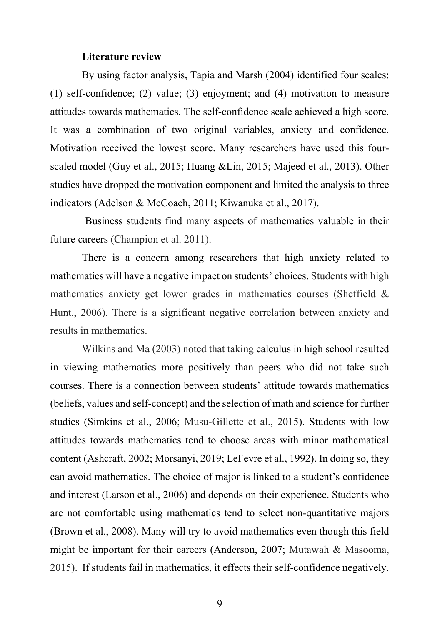#### **Literature review**

By using factor analysis, Tapia and Marsh (2004) identified four scales: (1) self-confidence; (2) value; (3) enjoyment; and (4) motivation to measure attitudes towards mathematics. The self-confidence scale achieved a high score. It was a combination of two original variables, anxiety and confidence. Motivation received the lowest score. Many researchers have used this fourscaled model (Guy et al., 2015; Huang &Lin, 2015; Majeed et al., 2013). Other studies have dropped the motivation component and limited the analysis to three indicators (Adelson & McCoach, 2011; Kiwanuka et al., 2017).

Business students find many aspects of mathematics valuable in their future careers (Champion et al. 2011).

There is a concern among researchers that high anxiety related to mathematics will have a negative impact on students' choices. Students with high mathematics anxiety get lower grades in mathematics courses (Sheffield & Hunt., 2006). There is a significant negative correlation between anxiety and results in mathematics.

Wilkins and Ma (2003) noted that taking calculus in high school resulted in viewing mathematics more positively than peers who did not take such courses. There is a connection between students' attitude towards mathematics (beliefs, values and self-concept) and the selection of math and science for further studies (Simkins et al., 2006; Musu-Gillette et al., 2015). Students with low attitudes towards mathematics tend to choose areas with minor mathematical content (Ashcraft, 2002; Morsanyi, 2019; LeFevre et al., 1992). In doing so, they can avoid mathematics. The choice of major is linked to a student's confidence and interest (Larson et al., 2006) and depends on their experience. Students who are not comfortable using mathematics tend to select non-quantitative majors (Brown et al., 2008). Many will try to avoid mathematics even though this field might be important for their careers (Anderson, 2007; Mutawah & Masooma, 2015). If students fail in mathematics, it effects their self-confidence negatively.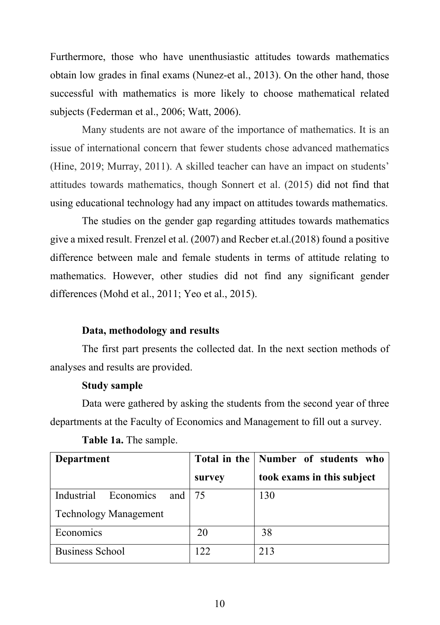Furthermore, those who have unenthusiastic attitudes towards mathematics obtain low grades in final exams (Nunez-et al., 2013). On the other hand, those successful with mathematics is more likely to choose mathematical related subjects (Federman et al., 2006; Watt, 2006).

Many students are not aware of the importance of mathematics. It is an issue of international concern that fewer students chose advanced mathematics (Hine, 2019; Murray, 2011). A skilled teacher can have an impact on students' attitudes towards mathematics, though Sonnert et al. (2015) did not find that using educational technology had any impact on attitudes towards mathematics.

The studies on the gender gap regarding attitudes towards mathematics give a mixed result. Frenzel et al. (2007) and Recber et.al.(2018) found a positive difference between male and female students in terms of attitude relating to mathematics. However, other studies did not find any significant gender differences (Mohd et al., 2011; Yeo et al., 2015).

#### **Data, methodology and results**

The first part presents the collected dat. In the next section methods of analyses and results are provided.

#### **Study sample**

Data were gathered by asking the students from the second year of three departments at the Faculty of Economics and Management to fill out a survey.

| Department                                 |        | Total in the   Number of students who |
|--------------------------------------------|--------|---------------------------------------|
|                                            | survey | took exams in this subject            |
| Economics<br>Industrial<br>and $\sqrt{75}$ |        | 130                                   |
| <b>Technology Management</b>               |        |                                       |
| Economics                                  | 20     | 38                                    |
| <b>Business School</b>                     | 122    | 213                                   |

**Table 1a.** The sample.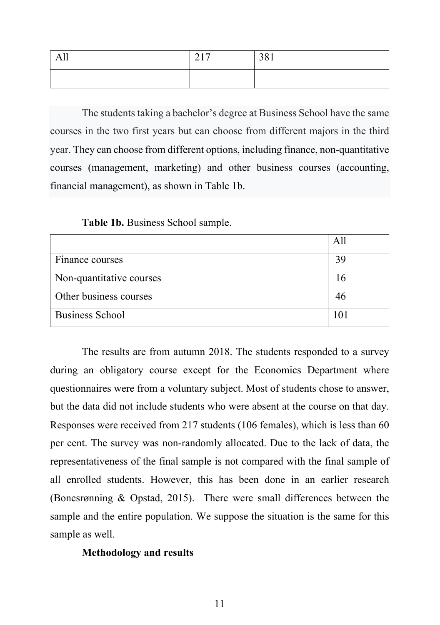| All | 217<br>$\sim$ 4 $\pm$ | 381 |
|-----|-----------------------|-----|
|     |                       |     |

The students taking a bachelor's degree at Business School have the same courses in the two first years but can choose from different majors in the third year. They can choose from different options, including finance, non-quantitative courses (management, marketing) and other business courses (accounting, financial management), as shown in Table 1b.

|                          | All |
|--------------------------|-----|
| Finance courses          | 39  |
| Non-quantitative courses | 16  |
| Other business courses   | 46  |
| <b>Business School</b>   |     |

The results are from autumn 2018. The students responded to a survey during an obligatory course except for the Economics Department where questionnaires were from a voluntary subject. Most of students chose to answer, but the data did not include students who were absent at the course on that day. Responses were received from 217 students (106 females), which is less than 60 per cent. The survey was non-randomly allocated. Due to the lack of data, the representativeness of the final sample is not compared with the final sample of all enrolled students. However, this has been done in an earlier research (Bonesrønning & Opstad, 2015). There were small differences between the sample and the entire population. We suppose the situation is the same for this sample as well.

### **Methodology and results**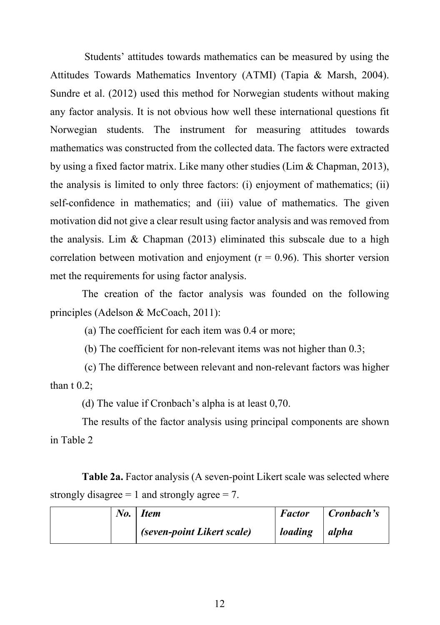Students' attitudes towards mathematics can be measured by using the Attitudes Towards Mathematics Inventory (ATMI) (Tapia & Marsh, 2004). Sundre et al. (2012) used this method for Norwegian students without making any factor analysis. It is not obvious how well these international questions fit Norwegian students. The instrument for measuring attitudes towards mathematics was constructed from the collected data. The factors were extracted by using a fixed factor matrix. Like many other studies (Lim & Chapman, 2013), the analysis is limited to only three factors: (i) enjoyment of mathematics; (ii) self-confidence in mathematics; and (iii) value of mathematics. The given motivation did not give a clear result using factor analysis and was removed from the analysis. Lim & Chapman (2013) eliminated this subscale due to a high correlation between motivation and enjoyment ( $r = 0.96$ ). This shorter version met the requirements for using factor analysis.

The creation of the factor analysis was founded on the following principles (Adelson & McCoach, 2011):

(a) The coefficient for each item was 0.4 or more;

(b) The coefficient for non-relevant items was not higher than 0.3;

(c) The difference between relevant and non-relevant factors was higher than  $t$  0.2;

(d) The value if Cronbach's alpha is at least 0,70.

The results of the factor analysis using principal components are shown in Table 2

**Table 2a.** Factor analysis (A seven-point Likert scale was selected where strongly disagree  $= 1$  and strongly agree  $= 7$ .

|  | No. Item                   | <b>Factor</b> | $\vert$ Cronbach's |
|--|----------------------------|---------------|--------------------|
|  | (seven-point Likert scale) | loading       | alpha              |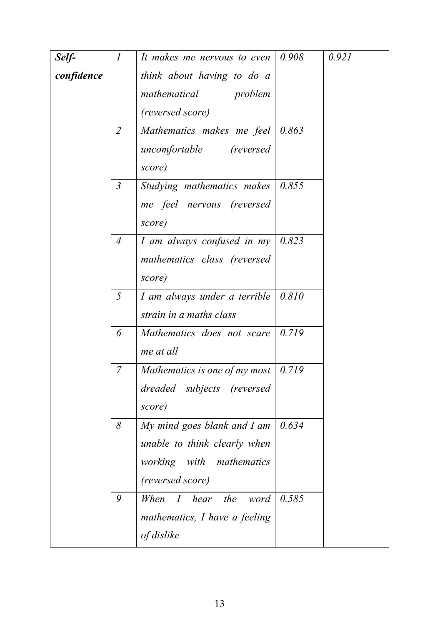| confidence<br>think about having to do a<br>mathematical<br>problem<br>(reversed score)<br>0.863<br>$\overline{2}$<br>Mathematics makes me feel<br>uncomfortable<br><i>(reversed)</i><br>score)<br>$\mathfrak{Z}$<br>0.855<br>Studying mathematics makes<br>me feel nervous (reversed<br>score)<br>0.823<br>I am always confused in $my$<br>$\overline{4}$<br>mathematics class (reversed<br>score)<br>5<br>I am always under a terrible $\vert 0.810 \vert$<br>strain in a maths class<br>0.719<br>6<br>Mathematics does not scare<br>me at all<br>$\overline{7}$<br>Mathematics is one of my most $\vert 0.719 \rangle$<br>dreaded subjects (reversed<br>score)<br>My mind goes blank and I am<br>8<br>0.634<br>unable to think clearly when<br>working with<br>mathematics<br>(reversed score)<br>9<br>I hear<br>0.585<br>When<br>the<br>word<br>mathematics, I have a feeling<br>of dislike | Self- | $\mathcal{I}$ | It makes me nervous to even | 0.908 | 0.921 |
|-------------------------------------------------------------------------------------------------------------------------------------------------------------------------------------------------------------------------------------------------------------------------------------------------------------------------------------------------------------------------------------------------------------------------------------------------------------------------------------------------------------------------------------------------------------------------------------------------------------------------------------------------------------------------------------------------------------------------------------------------------------------------------------------------------------------------------------------------------------------------------------------------|-------|---------------|-----------------------------|-------|-------|
|                                                                                                                                                                                                                                                                                                                                                                                                                                                                                                                                                                                                                                                                                                                                                                                                                                                                                                 |       |               |                             |       |       |
|                                                                                                                                                                                                                                                                                                                                                                                                                                                                                                                                                                                                                                                                                                                                                                                                                                                                                                 |       |               |                             |       |       |
|                                                                                                                                                                                                                                                                                                                                                                                                                                                                                                                                                                                                                                                                                                                                                                                                                                                                                                 |       |               |                             |       |       |
|                                                                                                                                                                                                                                                                                                                                                                                                                                                                                                                                                                                                                                                                                                                                                                                                                                                                                                 |       |               |                             |       |       |
|                                                                                                                                                                                                                                                                                                                                                                                                                                                                                                                                                                                                                                                                                                                                                                                                                                                                                                 |       |               |                             |       |       |
|                                                                                                                                                                                                                                                                                                                                                                                                                                                                                                                                                                                                                                                                                                                                                                                                                                                                                                 |       |               |                             |       |       |
|                                                                                                                                                                                                                                                                                                                                                                                                                                                                                                                                                                                                                                                                                                                                                                                                                                                                                                 |       |               |                             |       |       |
|                                                                                                                                                                                                                                                                                                                                                                                                                                                                                                                                                                                                                                                                                                                                                                                                                                                                                                 |       |               |                             |       |       |
|                                                                                                                                                                                                                                                                                                                                                                                                                                                                                                                                                                                                                                                                                                                                                                                                                                                                                                 |       |               |                             |       |       |
|                                                                                                                                                                                                                                                                                                                                                                                                                                                                                                                                                                                                                                                                                                                                                                                                                                                                                                 |       |               |                             |       |       |
|                                                                                                                                                                                                                                                                                                                                                                                                                                                                                                                                                                                                                                                                                                                                                                                                                                                                                                 |       |               |                             |       |       |
|                                                                                                                                                                                                                                                                                                                                                                                                                                                                                                                                                                                                                                                                                                                                                                                                                                                                                                 |       |               |                             |       |       |
|                                                                                                                                                                                                                                                                                                                                                                                                                                                                                                                                                                                                                                                                                                                                                                                                                                                                                                 |       |               |                             |       |       |
|                                                                                                                                                                                                                                                                                                                                                                                                                                                                                                                                                                                                                                                                                                                                                                                                                                                                                                 |       |               |                             |       |       |
|                                                                                                                                                                                                                                                                                                                                                                                                                                                                                                                                                                                                                                                                                                                                                                                                                                                                                                 |       |               |                             |       |       |
|                                                                                                                                                                                                                                                                                                                                                                                                                                                                                                                                                                                                                                                                                                                                                                                                                                                                                                 |       |               |                             |       |       |
|                                                                                                                                                                                                                                                                                                                                                                                                                                                                                                                                                                                                                                                                                                                                                                                                                                                                                                 |       |               |                             |       |       |
|                                                                                                                                                                                                                                                                                                                                                                                                                                                                                                                                                                                                                                                                                                                                                                                                                                                                                                 |       |               |                             |       |       |
|                                                                                                                                                                                                                                                                                                                                                                                                                                                                                                                                                                                                                                                                                                                                                                                                                                                                                                 |       |               |                             |       |       |
|                                                                                                                                                                                                                                                                                                                                                                                                                                                                                                                                                                                                                                                                                                                                                                                                                                                                                                 |       |               |                             |       |       |
|                                                                                                                                                                                                                                                                                                                                                                                                                                                                                                                                                                                                                                                                                                                                                                                                                                                                                                 |       |               |                             |       |       |
|                                                                                                                                                                                                                                                                                                                                                                                                                                                                                                                                                                                                                                                                                                                                                                                                                                                                                                 |       |               |                             |       |       |
|                                                                                                                                                                                                                                                                                                                                                                                                                                                                                                                                                                                                                                                                                                                                                                                                                                                                                                 |       |               |                             |       |       |
|                                                                                                                                                                                                                                                                                                                                                                                                                                                                                                                                                                                                                                                                                                                                                                                                                                                                                                 |       |               |                             |       |       |
|                                                                                                                                                                                                                                                                                                                                                                                                                                                                                                                                                                                                                                                                                                                                                                                                                                                                                                 |       |               |                             |       |       |
|                                                                                                                                                                                                                                                                                                                                                                                                                                                                                                                                                                                                                                                                                                                                                                                                                                                                                                 |       |               |                             |       |       |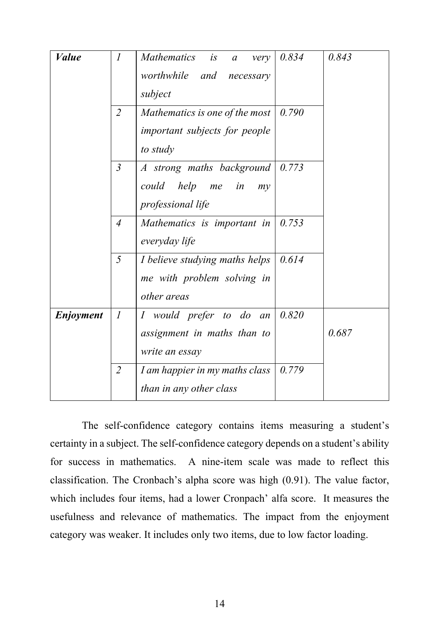| <b>Value</b> | $\mathcal{I}$    | Mathematics is<br>very<br>$\boldsymbol{a}$<br>worthwhile and necessary<br>subject    | 0.834 | 0.843 |
|--------------|------------------|--------------------------------------------------------------------------------------|-------|-------|
|              | $\overline{2}$   | Mathematics is one of the most<br>important subjects for people<br>to study          | 0.790 |       |
|              | $\overline{3}$   | A strong maths background<br>could<br>help<br>in<br>me<br>$m$ y<br>professional life | 0.773 |       |
|              | $\overline{4}$   | Mathematics is important in<br>everyday life                                         | 0.753 |       |
|              | 5                | I believe studying maths helps<br>me with problem solving in<br>other areas          | 0.614 |       |
| Enjoyment    | $\boldsymbol{l}$ | I would prefer to do an<br>assignment in maths than to<br>write an essay             | 0.820 | 0.687 |
|              | $\overline{2}$   | I am happier in my maths class<br>than in any other class                            | 0.779 |       |

The self-confidence category contains items measuring a student's certainty in a subject. The self-confidence category depends on a student's ability for success in mathematics. A nine-item scale was made to reflect this classification. The Cronbach's alpha score was high (0.91). The value factor, which includes four items, had a lower Cronpach' alfa score. It measures the usefulness and relevance of mathematics. The impact from the enjoyment category was weaker. It includes only two items, due to low factor loading.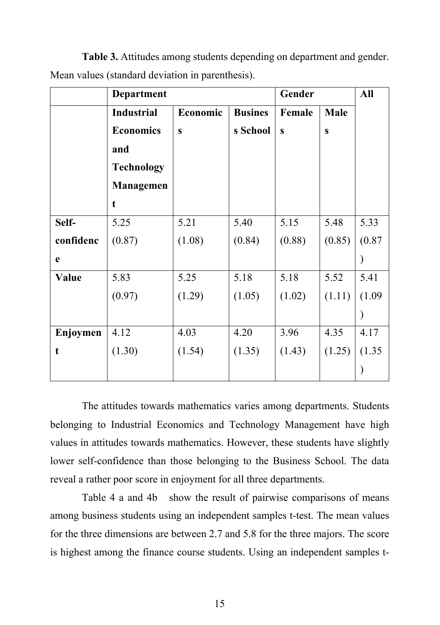|           | Department        |              |                | Gender       | <b>All</b>   |        |
|-----------|-------------------|--------------|----------------|--------------|--------------|--------|
|           | <b>Industrial</b> | Economic     | <b>Busines</b> | Female       | Male         |        |
|           | <b>Economics</b>  | $\mathbf{s}$ | s School       | $\mathbf{s}$ | $\mathbf{s}$ |        |
|           | and               |              |                |              |              |        |
|           | <b>Technology</b> |              |                |              |              |        |
|           | <b>Managemen</b>  |              |                |              |              |        |
|           | t                 |              |                |              |              |        |
| Self-     | 5.25              | 5.21         | 5.40           | 5.15         | 5.48         | 5.33   |
| confidenc | (0.87)            | (1.08)       | (0.84)         | (0.88)       | (0.85)       | (0.87) |
| e         |                   |              |                |              |              |        |
| Value     | 5.83              | 5.25         | 5.18           | 5.18         | 5.52         | 5.41   |
|           | (0.97)            | (1.29)       | (1.05)         | (1.02)       | (1.11)       | (1.09) |
|           |                   |              |                |              |              |        |
| Enjoymen  | 4.12              | 4.03         | 4.20           | 3.96         | 4.35         | 4.17   |
| t         | (1.30)            | (1.54)       | (1.35)         | (1.43)       | (1.25)       | (1.35) |
|           |                   |              |                |              |              |        |

**Table 3.** Attitudes among students depending on department and gender. Mean values (standard deviation in parenthesis).

The attitudes towards mathematics varies among departments. Students belonging to Industrial Economics and Technology Management have high values in attitudes towards mathematics. However, these students have slightly lower self-confidence than those belonging to the Business School. The data reveal a rather poor score in enjoyment for all three departments.

Table 4 a and 4b show the result of pairwise comparisons of means among business students using an independent samples t-test. The mean values for the three dimensions are between 2.7 and 5.8 for the three majors. The score is highest among the finance course students. Using an independent samples t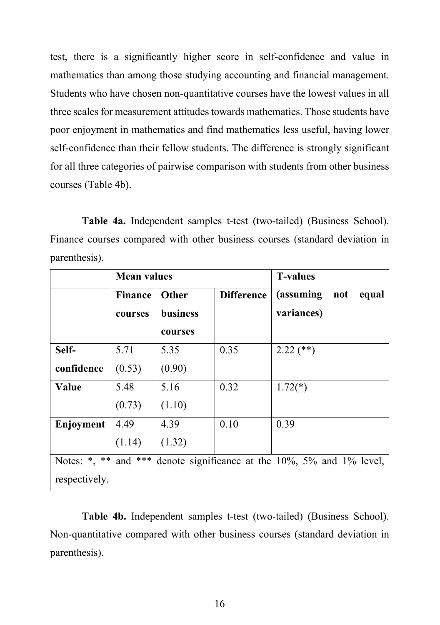test, there is a significantly higher score in self-confidence and value in mathematics than among those studying accounting and financial management. Students who have chosen non-quantitative courses have the lowest values in all three scales for measurement attitudes towards mathematics. Those students have poor enjoyment in mathematics and find mathematics less useful, having lower self-confidence than their fellow students. The difference is strongly significant for all three categories of pairwise comparison with students from other business courses (Table 4b).

**Table 4a.** Independent samples t-test (two-tailed) (Business School). Finance courses compared with other business courses (standard deviation in parenthesis).

|               | <b>Mean values</b> |                 |                   | <b>T-values</b>                                                       |
|---------------|--------------------|-----------------|-------------------|-----------------------------------------------------------------------|
|               | <b>Finance</b>     | <b>Other</b>    | <b>Difference</b> | (assuming<br>not<br>equal                                             |
|               | courses            | <b>business</b> |                   | variances)                                                            |
|               |                    | courses         |                   |                                                                       |
| Self-         | 5.71               | 5.35            | 0.35              | $2.22$ (**)                                                           |
| confidence    | (0.53)             | (0.90)          |                   |                                                                       |
| Value         | 5.48               | 5.16            | 0.32              | $1.72(*)$                                                             |
|               | (0.73)             | (1.10)          |                   |                                                                       |
| Enjoyment     | 4.49               | 4.39            | 0.10              | 0.39                                                                  |
|               | (1.14)             | (1.32)          |                   |                                                                       |
|               |                    |                 |                   | Notes: *, ** and *** denote significance at the 10%, 5% and 1% level, |
| respectively. |                    |                 |                   |                                                                       |

**Table 4b.** Independent samples t-test (two-tailed) (Business School). Non-quantitative compared with other business courses (standard deviation in parenthesis).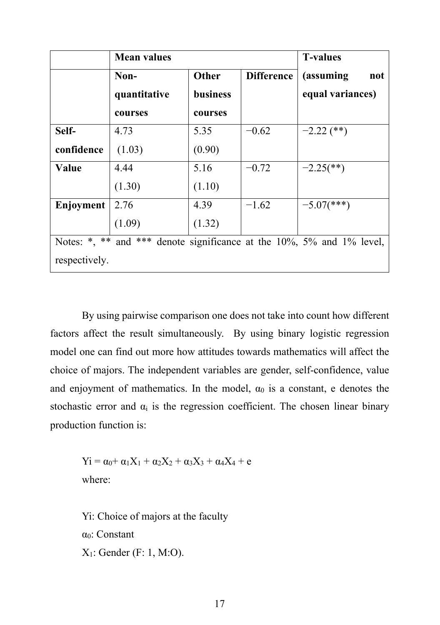|               | <b>Mean values</b> | <b>T-values</b> |                   |                                                                       |
|---------------|--------------------|-----------------|-------------------|-----------------------------------------------------------------------|
|               | Non-               | <b>Other</b>    | <b>Difference</b> | (assuming<br>not                                                      |
|               | quantitative       | <b>business</b> |                   | equal variances)                                                      |
|               | courses            | courses         |                   |                                                                       |
| Self-         | 4.73               | 5.35            | $-0.62$           | $-2.22$ (**)                                                          |
| confidence    | (1.03)             | (0.90)          |                   |                                                                       |
| Value         | 4.44               | 5.16            | $-0.72$           | $-2.25$ <sup>**</sup> )                                               |
|               | (1.30)             | (1.10)          |                   |                                                                       |
| Enjoyment     | 2.76               | 4.39            | $-1.62$           | $-5.07$ (***)                                                         |
|               | (1.09)             | (1.32)          |                   |                                                                       |
|               |                    |                 |                   | Notes: *, ** and *** denote significance at the 10%, 5% and 1% level, |
| respectively. |                    |                 |                   |                                                                       |

By using pairwise comparison one does not take into count how different factors affect the result simultaneously. By using binary logistic regression model one can find out more how attitudes towards mathematics will affect the choice of majors. The independent variables are gender, self-confidence, value and enjoyment of mathematics. In the model,  $\alpha_0$  is a constant, e denotes the stochastic error and  $\alpha_i$  is the regression coefficient. The chosen linear binary production function is:

 $Y_1 = \alpha_0 + \alpha_1 X_1 + \alpha_2 X_2 + \alpha_3 X_3 + \alpha_4 X_4 + e$ where:

Yi: Choice of majors at the faculty α0: Constant X1: Gender (F: 1, M:O).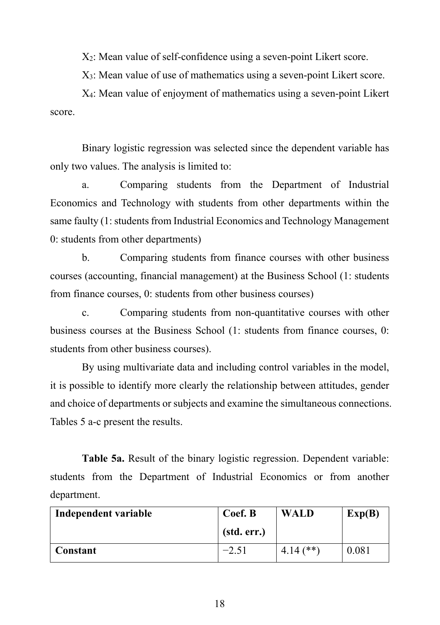X2: Mean value of self-confidence using a seven-point Likert score.

X3: Mean value of use of mathematics using a seven-point Likert score.

X4: Mean value of enjoyment of mathematics using a seven-point Likert score.

Binary logistic regression was selected since the dependent variable has only two values. The analysis is limited to:

a. Comparing students from the Department of Industrial Economics and Technology with students from other departments within the same faulty (1: students from Industrial Economics and Technology Management 0: students from other departments)

b. Comparing students from finance courses with other business courses (accounting, financial management) at the Business School (1: students from finance courses, 0: students from other business courses)

c. Comparing students from non-quantitative courses with other business courses at the Business School (1: students from finance courses, 0: students from other business courses).

By using multivariate data and including control variables in the model, it is possible to identify more clearly the relationship between attitudes, gender and choice of departments or subjects and examine the simultaneous connections. Tables 5 a-c present the results.

**Table 5a.** Result of the binary logistic regression. Dependent variable: students from the Department of Industrial Economics or from another department.

| Independent variable | Coef. B     | <b>WALD</b>  | Exp(B) |
|----------------------|-------------|--------------|--------|
|                      | (std. err.) |              |        |
| Constant             | $-2.51$     | $14.14$ (**) | 0.081  |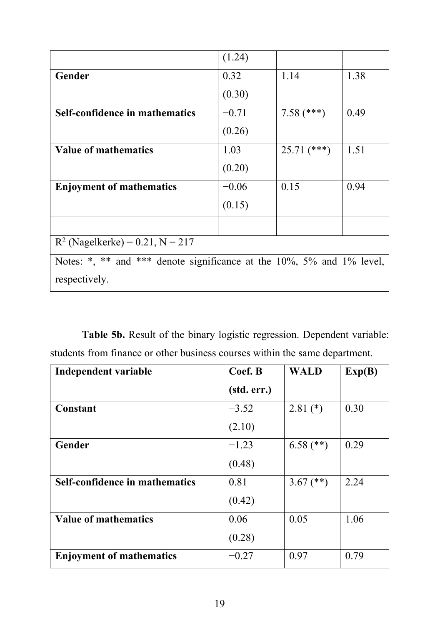|                                                                       | (1.24)  |               |      |  |  |  |
|-----------------------------------------------------------------------|---------|---------------|------|--|--|--|
| Gender                                                                | 0.32    | 1.14          | 1.38 |  |  |  |
|                                                                       | (0.30)  |               |      |  |  |  |
| Self-confidence in mathematics                                        | $-0.71$ | $7.58$ (***)  | 0.49 |  |  |  |
|                                                                       | (0.26)  |               |      |  |  |  |
| <b>Value of mathematics</b>                                           | 1.03    | $25.71$ (***) | 1.51 |  |  |  |
|                                                                       | (0.20)  |               |      |  |  |  |
| <b>Enjoyment of mathematics</b>                                       | $-0.06$ | 0.15          | 0.94 |  |  |  |
|                                                                       | (0.15)  |               |      |  |  |  |
|                                                                       |         |               |      |  |  |  |
| $R^2$ (Nagelkerke) = 0.21, N = 217                                    |         |               |      |  |  |  |
| Notes: *, ** and *** denote significance at the 10%, 5% and 1% level, |         |               |      |  |  |  |
| respectively.                                                         |         |               |      |  |  |  |

**Table 5b.** Result of the binary logistic regression. Dependent variable: students from finance or other business courses within the same department.

| Independent variable            | Coef. B     | <b>WALD</b> | Exp(B) |
|---------------------------------|-------------|-------------|--------|
|                                 | (std. err.) |             |        |
| Constant                        | $-3.52$     | $2.81$ (*)  | 0.30   |
|                                 | (2.10)      |             |        |
| Gender                          | $-1.23$     | $6.58$ (**) | 0.29   |
|                                 | (0.48)      |             |        |
| Self-confidence in mathematics  | 0.81        | 3.67 $(**)$ | 2.24   |
|                                 | (0.42)      |             |        |
| <b>Value of mathematics</b>     | 0.06        | 0.05        | 1.06   |
|                                 | (0.28)      |             |        |
| <b>Enjoyment of mathematics</b> | $-0.27$     | 0.97        | 0.79   |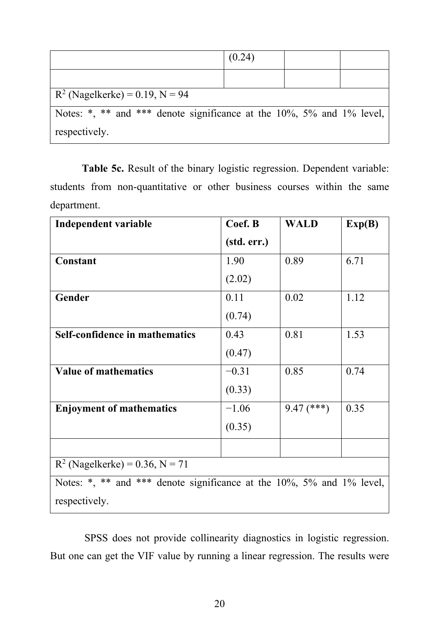|                                                                           | (0.24) |  |  |  |  |
|---------------------------------------------------------------------------|--------|--|--|--|--|
|                                                                           |        |  |  |  |  |
| $R^2$ (Nagelkerke) = 0.19, N = 94                                         |        |  |  |  |  |
| Notes: *, ** and *** denote significance at the $10\%$ , 5% and 1% level, |        |  |  |  |  |
| respectively.                                                             |        |  |  |  |  |

Table 5c. Result of the binary logistic regression. Dependent variable: students from non-quantitative or other business courses within the same department.

| Independent variable                                                  | Coef. B     | <b>WALD</b>  | Exp(B) |  |  |
|-----------------------------------------------------------------------|-------------|--------------|--------|--|--|
|                                                                       | (std. err.) |              |        |  |  |
| Constant                                                              | 1.90        | 0.89         | 6.71   |  |  |
|                                                                       | (2.02)      |              |        |  |  |
| Gender                                                                | 0.11        | 0.02         | 1.12   |  |  |
|                                                                       | (0.74)      |              |        |  |  |
| <b>Self-confidence in mathematics</b>                                 | 0.43        | 0.81         | 1.53   |  |  |
|                                                                       | (0.47)      |              |        |  |  |
| <b>Value of mathematics</b>                                           | $-0.31$     | 0.85         | 0.74   |  |  |
|                                                                       | (0.33)      |              |        |  |  |
| <b>Enjoyment of mathematics</b>                                       | $-1.06$     | $9.47$ (***) | 0.35   |  |  |
|                                                                       | (0.35)      |              |        |  |  |
|                                                                       |             |              |        |  |  |
| $R^2$ (Nagelkerke) = 0.36, N = 71                                     |             |              |        |  |  |
| Notes: *, ** and *** denote significance at the 10%, 5% and 1% level, |             |              |        |  |  |
| respectively.                                                         |             |              |        |  |  |

SPSS does not provide collinearity diagnostics in logistic regression. But one can get the VIF value by running a linear regression. The results were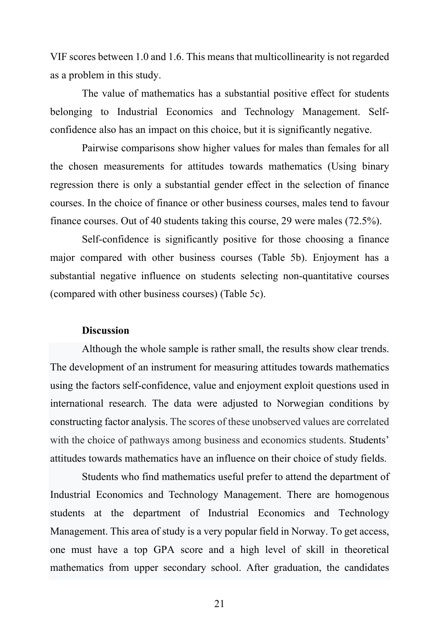VIF scores between 1.0 and 1.6. This means that multicollinearity is not regarded as a problem in this study.

The value of mathematics has a substantial positive effect for students belonging to Industrial Economics and Technology Management. Selfconfidence also has an impact on this choice, but it is significantly negative.

Pairwise comparisons show higher values for males than females for all the chosen measurements for attitudes towards mathematics (Using binary regression there is only a substantial gender effect in the selection of finance courses. In the choice of finance or other business courses, males tend to favour finance courses. Out of 40 students taking this course, 29 were males (72.5%).

Self-confidence is significantly positive for those choosing a finance major compared with other business courses (Table 5b). Enjoyment has a substantial negative influence on students selecting non-quantitative courses (compared with other business courses) (Table 5c).

#### **Discussion**

Although the whole sample is rather small, the results show clear trends. The development of an instrument for measuring attitudes towards mathematics using the factors self-confidence, value and enjoyment exploit questions used in international research. The data were adjusted to Norwegian conditions by constructing factor analysis. The scores of these unobserved values are correlated with the choice of pathways among business and economics students. Students' attitudes towards mathematics have an influence on their choice of study fields.

Students who find mathematics useful prefer to attend the department of Industrial Economics and Technology Management. There are homogenous students at the department of Industrial Economics and Technology Management. This area of study is a very popular field in Norway. To get access, one must have a top GPA score and a high level of skill in theoretical mathematics from upper secondary school. After graduation, the candidates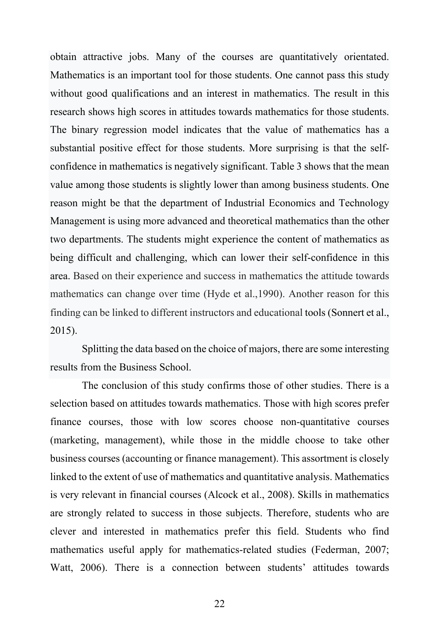obtain attractive jobs. Many of the courses are quantitatively orientated. Mathematics is an important tool for those students. One cannot pass this study without good qualifications and an interest in mathematics. The result in this research shows high scores in attitudes towards mathematics for those students. The binary regression model indicates that the value of mathematics has a substantial positive effect for those students. More surprising is that the selfconfidence in mathematics is negatively significant. Table 3 shows that the mean value among those students is slightly lower than among business students. One reason might be that the department of Industrial Economics and Technology Management is using more advanced and theoretical mathematics than the other two departments. The students might experience the content of mathematics as being difficult and challenging, which can lower their self-confidence in this area. Based on their experience and success in mathematics the attitude towards mathematics can change over time (Hyde et al.,1990). Another reason for this finding can be linked to different instructors and educational tools (Sonnert et al., 2015).

Splitting the data based on the choice of majors, there are some interesting results from the Business School.

The conclusion of this study confirms those of other studies. There is a selection based on attitudes towards mathematics. Those with high scores prefer finance courses, those with low scores choose non-quantitative courses (marketing, management), while those in the middle choose to take other business courses (accounting or finance management). This assortment is closely linked to the extent of use of mathematics and quantitative analysis. Mathematics is very relevant in financial courses (Alcock et al., 2008). Skills in mathematics are strongly related to success in those subjects. Therefore, students who are clever and interested in mathematics prefer this field. Students who find mathematics useful apply for mathematics-related studies (Federman, 2007; Watt, 2006). There is a connection between students' attitudes towards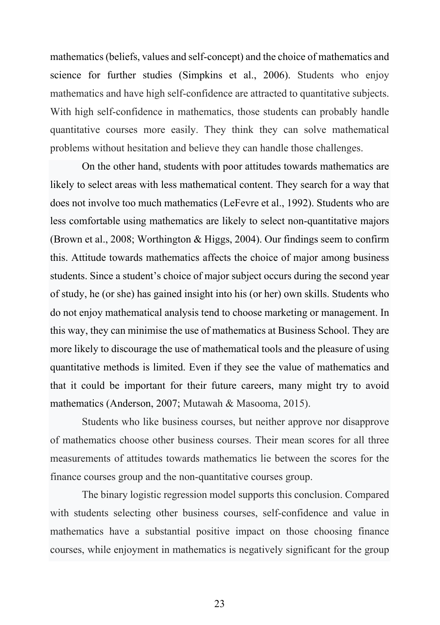mathematics (beliefs, values and self-concept) and the choice of mathematics and science for further studies (Simpkins et al., 2006). Students who enjoy mathematics and have high self-confidence are attracted to quantitative subjects. With high self-confidence in mathematics, those students can probably handle quantitative courses more easily. They think they can solve mathematical problems without hesitation and believe they can handle those challenges.

On the other hand, students with poor attitudes towards mathematics are likely to select areas with less mathematical content. They search for a way that does not involve too much mathematics (LeFevre et al., 1992). Students who are less comfortable using mathematics are likely to select non-quantitative majors (Brown et al., 2008; Worthington & Higgs, 2004). Our findings seem to confirm this. Attitude towards mathematics affects the choice of major among business students. Since a student's choice of major subject occurs during the second year of study, he (or she) has gained insight into his (or her) own skills. Students who do not enjoy mathematical analysis tend to choose marketing or management. In this way, they can minimise the use of mathematics at Business School. They are more likely to discourage the use of mathematical tools and the pleasure of using quantitative methods is limited. Even if they see the value of mathematics and that it could be important for their future careers, many might try to avoid mathematics (Anderson, 2007; Mutawah & Masooma, 2015).

Students who like business courses, but neither approve nor disapprove of mathematics choose other business courses. Their mean scores for all three measurements of attitudes towards mathematics lie between the scores for the finance courses group and the non-quantitative courses group.

The binary logistic regression model supports this conclusion. Compared with students selecting other business courses, self-confidence and value in mathematics have a substantial positive impact on those choosing finance courses, while enjoyment in mathematics is negatively significant for the group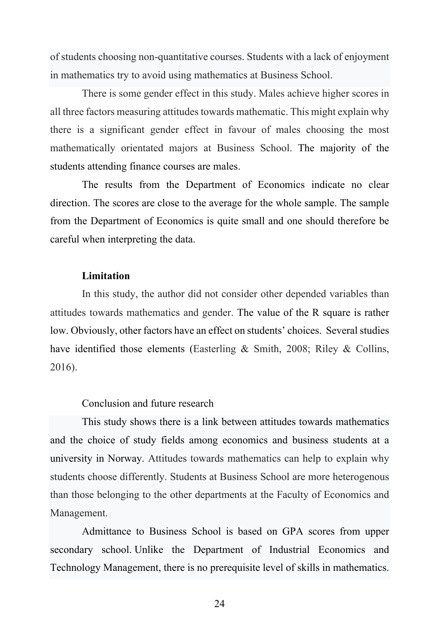of students choosing non-quantitative courses. Students with a lack of enjoyment in mathematics try to avoid using mathematics at Business School.

There is some gender effect in this study. Males achieve higher scores in all three factors measuring attitudes towards mathematic. This might explain why there is a significant gender effect in favour of males choosing the most mathematically orientated majors at Business School. The majority of the students attending finance courses are males.

The results from the Department of Economics indicate no clear direction. The scores are close to the average for the whole sample. The sample from the Department of Economics is quite small and one should therefore be careful when interpreting the data.

#### **Limitation**

In this study, the author did not consider other depended variables than attitudes towards mathematics and gender. The value of the R square is rather low. Obviously, other factors have an effect on students' choices. Several studies have identified those elements (Easterling & Smith, 2008; Riley & Collins, 2016).

## Conclusion and future research

This study shows there is a link between attitudes towards mathematics and the choice of study fields among economics and business students at a university in Norway. Attitudes towards mathematics can help to explain why students choose differently. Students at Business School are more heterogenous than those belonging to the other departments at the Faculty of Economics and Management.

Admittance to Business School is based on GPA scores from upper secondary school. Unlike the Department of Industrial Economics and Technology Management, there is no prerequisite level of skills in mathematics.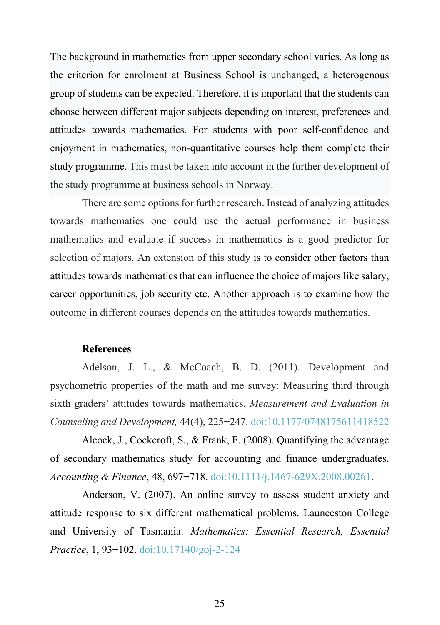The background in mathematics from upper secondary school varies. As long as the criterion for enrolment at Business School is unchanged, a heterogenous group of students can be expected. Therefore, it is important that the students can choose between different major subjects depending on interest, preferences and attitudes towards mathematics. For students with poor self-confidence and enjoyment in mathematics, non-quantitative courses help them complete their study programme. This must be taken into account in the further development of the study programme at business schools in Norway.

There are some options for further research. Instead of analyzing attitudes towards mathematics one could use the actual performance in business mathematics and evaluate if success in mathematics is a good predictor for selection of majors. An extension of this study is to consider other factors than attitudes towards mathematics that can influence the choice of majors like salary, career opportunities, job security etc. Another approach is to examine how the outcome in different courses depends on the attitudes towards mathematics.

#### **References**

Adelson, J. L., & McCoach, B. D. (2011). Development and psychometric properties of the math and me survey: Measuring third through sixth graders' attitudes towards mathematics. *Measurement and Evaluation in Counseling and Development,* 44(4), 225−247. doi:10.1177/0748175611418522

Alcock, J., Cockcroft, S., & Frank, F. (2008). Quantifying the advantage of secondary mathematics study for accounting and finance undergraduates. *Accounting & Finance*, 48, 697−718. doi:10.1111/j.1467-629X.2008.00261.

Anderson, V. (2007). An online survey to assess student anxiety and attitude response to six different mathematical problems. Launceston College and University of Tasmania. *Mathematics: Essential Research, Essential Practice*, 1, 93−102. doi:10.17140/goj-2-124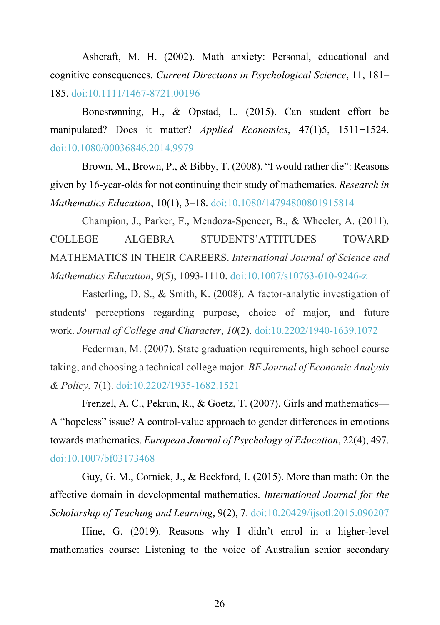Ashcraft, M. H. (2002). Math anxiety: Personal, educational and cognitive consequences*. Current Directions in Psychological Science*, 11, 181– 185. doi:10.1111/1467-8721.00196

Bonesrønning, H., & Opstad, L. (2015). Can student effort be manipulated? Does it matter? *Applied Economics*, 47(1)5, 1511−1524. doi:10.1080/00036846.2014.9979

Brown, M., Brown, P., & Bibby, T. (2008). "I would rather die": Reasons given by 16-year-olds for not continuing their study of mathematics. *Research in Mathematics Education*, 10(1), 3–18. doi:10.1080/14794800801915814

Champion, J., Parker, F., Mendoza-Spencer, B., & Wheeler, A. (2011). COLLEGE ALGEBRA STUDENTS'ATTITUDES TOWARD MATHEMATICS IN THEIR CAREERS. *International Journal of Science and Mathematics Education*, *9*(5), 1093-1110. doi:10.1007/s10763-010-9246-z

Easterling, D. S., & Smith, K. (2008). A factor-analytic investigation of students' perceptions regarding purpose, choice of major, and future work. *Journal of College and Character*, *10*(2). doi:10.2202/1940-1639.1072

Federman, M. (2007). State graduation requirements, high school course taking, and choosing a technical college major. *BE Journal of Economic Analysis & Policy*, 7(1). doi:10.2202/1935-1682.1521

Frenzel, A. C., Pekrun, R., & Goetz, T. (2007). Girls and mathematics— A "hopeless" issue? A control-value approach to gender differences in emotions towards mathematics. *European Journal of Psychology of Education*, 22(4), 497. doi:10.1007/bf03173468

Guy, G. M., Cornick, J., & Beckford, I. (2015). More than math: On the affective domain in developmental mathematics. *International Journal for the Scholarship of Teaching and Learning*, 9(2), 7. doi:10.20429/ijsotl.2015.090207

Hine, G. (2019). Reasons why I didn't enrol in a higher-level mathematics course: Listening to the voice of Australian senior secondary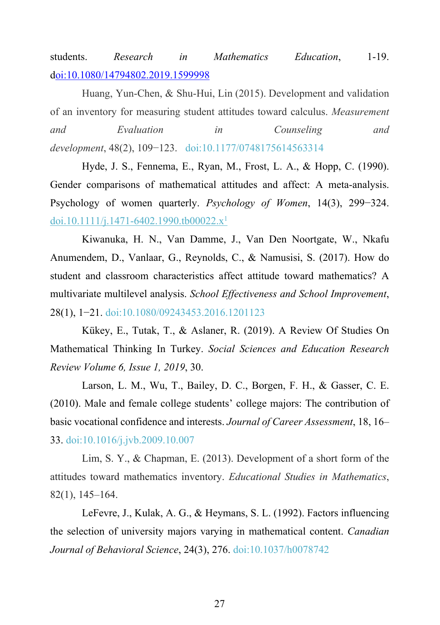students. *Research in Mathematics Education*, 1-19. doi:10.1080/14794802.2019.1599998

Huang, Yun-Chen, & Shu-Hui, Lin (2015). Development and validation of an inventory for measuring student attitudes toward calculus. *Measurement and Evaluation in Counseling and development*, 48(2), 109−123. doi:10.1177/0748175614563314

Hyde, J. S., Fennema, E., Ryan, M., Frost, L. A., & Hopp, C. (1990). Gender comparisons of mathematical attitudes and affect: A meta-analysis. Psychology of women quarterly. *Psychology of Women*, 14(3), 299−324. doi.10.1111/j.1471-6402.1990.tb00022. $x^1$ 

Kiwanuka, H. N., Van Damme, J., Van Den Noortgate, W., Nkafu Anumendem, D., Vanlaar, G., Reynolds, C., & Namusisi, S. (2017). How do student and classroom characteristics affect attitude toward mathematics? A multivariate multilevel analysis. *School Effectiveness and School Improvement*, 28(1), 1-21. doi:10.1080/09243453.2016.1201123

Kükey, E., Tutak, T., & Aslaner, R. (2019). A Review Of Studies On Mathematical Thinking In Turkey. *Social Sciences and Education Research Review Volume 6, Issue 1, 2019*, 30.

Larson, L. M., Wu, T., Bailey, D. C., Borgen, F. H., & Gasser, C. E. (2010). Male and female college students' college majors: The contribution of basic vocational confidence and interests. *Journal of Career Assessment*, 18, 16– 33. doi:10.1016/j.jvb.2009.10.007

Lim, S. Y., & Chapman, E. (2013). Development of a short form of the attitudes toward mathematics inventory. *Educational Studies in Mathematics*, 82(1), 145–164.

LeFevre, J., Kulak, A. G., & Heymans, S. L. (1992). Factors influencing the selection of university majors varying in mathematical content. *Canadian Journal of Behavioral Science*, 24(3), 276. doi:10.1037/h0078742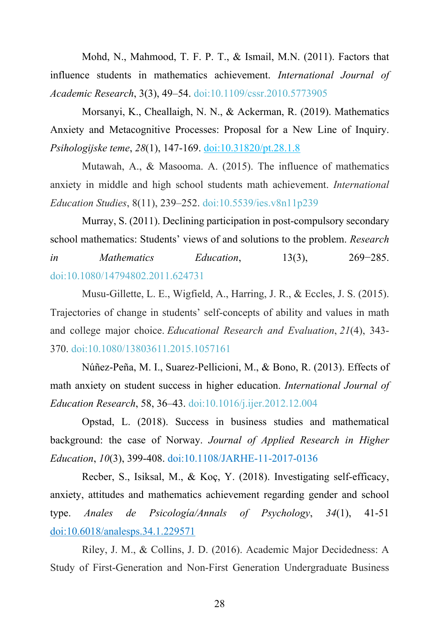Mohd, N., Mahmood, T. F. P. T., & Ismail, M.N. (2011). Factors that influence students in mathematics achievement. *International Journal of Academic Research*, 3(3), 49–54. doi:10.1109/cssr.2010.5773905

Morsanyi, K., Cheallaigh, N. N., & Ackerman, R. (2019). Mathematics Anxiety and Metacognitive Processes: Proposal for a New Line of Inquiry. *Psihologijske teme*, *28*(1), 147-169. doi:10.31820/pt.28.1.8

Mutawah, A., & Masooma. A. (2015). The influence of mathematics anxiety in middle and high school students math achievement. *International Education Studies*, 8(11), 239–252. doi:10.5539/ies.v8n11p239

Murray, S. (2011). Declining participation in post-compulsory secondary school mathematics: Students' views of and solutions to the problem. *Research in Mathematics Education*, 13(3), 269−285. doi:10.1080/14794802.2011.624731

Musu-Gillette, L. E., Wigfield, A., Harring, J. R., & Eccles, J. S. (2015). Trajectories of change in students' self-concepts of ability and values in math and college major choice. *Educational Research and Evaluation*, *21*(4), 343- 370. doi:10.1080/13803611.2015.1057161

Núñez-Peña, M. I., Suarez-Pellicioni, M., & Bono, R. (2013). Effects of math anxiety on student success in higher education. *International Journal of Education Research*, 58, 36–43. doi:10.1016/j.ijer.2012.12.004

Opstad, L. (2018). Success in business studies and mathematical background: the case of Norway. *Journal of Applied Research in Higher Education*, *10*(3), 399-408. doi:10.1108/JARHE-11-2017-0136

Recber, S., Isiksal, M., & Koç, Y. (2018). Investigating self-efficacy, anxiety, attitudes and mathematics achievement regarding gender and school type. *Anales de Psicología/Annals of Psychology*, *34*(1), 41-51 doi:10.6018/analesps.34.1.229571

Riley, J. M., & Collins, J. D. (2016). Academic Major Decidedness: A Study of First-Generation and Non-First Generation Undergraduate Business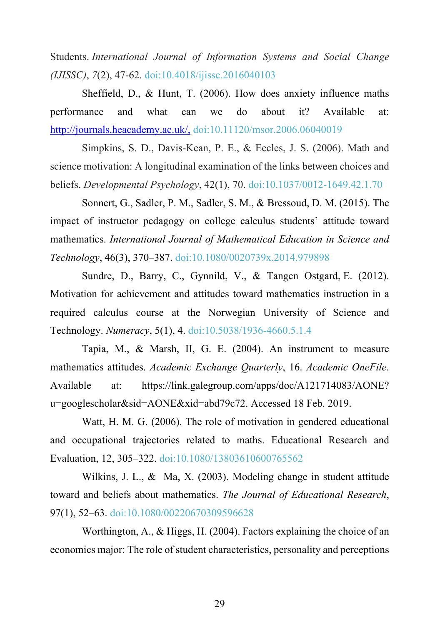Students. *International Journal of Information Systems and Social Change (IJISSC)*, *7*(2), 47-62. doi:10.4018/ijissc.2016040103

Sheffield, D., & Hunt, T. (2006). How does anxiety influence maths performance and what can we do about it? Available at: http://journals.heacademy.ac.uk/, doi:10.11120/msor.2006.06040019

Simpkins, S. D., Davis-Kean, P. E., & Eccles, J. S. (2006). Math and science motivation: A longitudinal examination of the links between choices and beliefs. *Developmental Psychology*, 42(1), 70. doi:10.1037/0012-1649.42.1.70

Sonnert, G., Sadler, P. M., Sadler, S. M., & Bressoud, D. M. (2015). The impact of instructor pedagogy on college calculus students' attitude toward mathematics. *International Journal of Mathematical Education in Science and Technology*, 46(3), 370–387. doi:10.1080/0020739x.2014.979898

Sundre, D., Barry, C., Gynnild, V., & Tangen Ostgard, E. (2012). Motivation for achievement and attitudes toward mathematics instruction in a required calculus course at the Norwegian University of Science and Technology. *Numeracy*, 5(1), 4. doi:10.5038/1936-4660.5.1.4

Tapia, M., & Marsh, II, G. E. (2004). An instrument to measure mathematics attitudes. *Academic Exchange Quarterly*, 16. *Academic OneFile*. Available at: https://link.galegroup.com/apps/doc/A121714083/AONE? u=googlescholar&sid=AONE&xid=abd79c72. Accessed 18 Feb. 2019.

Watt, H. M. G. (2006). The role of motivation in gendered educational and occupational trajectories related to maths. Educational Research and Evaluation, 12, 305–322. doi:10.1080/13803610600765562

Wilkins, J. L., & Ma, X. (2003). Modeling change in student attitude toward and beliefs about mathematics. *The Journal of Educational Research*, 97(1), 52–63. doi:10.1080/00220670309596628

Worthington, A., & Higgs, H. (2004). Factors explaining the choice of an economics major: The role of student characteristics, personality and perceptions